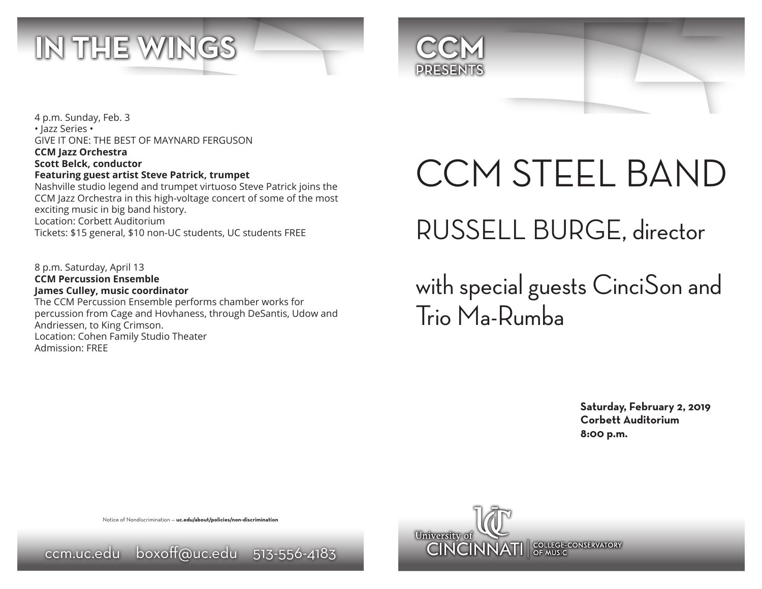



4 p.m. Sunday, Feb. 3 • Jazz Series • GIVE IT ONE: THE BEST OF MAYNARD FERGUSON **CCM Jazz Orchestra Scott Belck, conductor Featuring guest artist Steve Patrick, trumpet**

Nashville studio legend and trumpet virtuoso Steve Patrick joins the CCM Jazz Orchestra in this high-voltage concert of some of the most exciting music in big band history. Location: Corbett Auditorium Tickets: \$15 general, \$10 non-UC students, UC students FREE

8 p.m. Saturday, April 13 **CCM Percussion Ensemble James Culley, music coordinator** The CCM Percussion Ensemble performs chamber works for percussion from Cage and Hovhaness, through DeSantis, Udow and Andriessen, to King Crimson. Location: Cohen Family Studio Theater Admission: FREE

# CCM STEEL BAND RUSSELL BURGE, director

with special guests CinciSon and Trio Ma-Rumba

> **Saturday, February 2, 2019 Corbett Auditorium 8:00 p.m.**

Notice of Nondiscrimination — **uc.edu/about/policies/non-discrimination**

ccm.uc.edu boxoff@uc.edu 513-556-4183